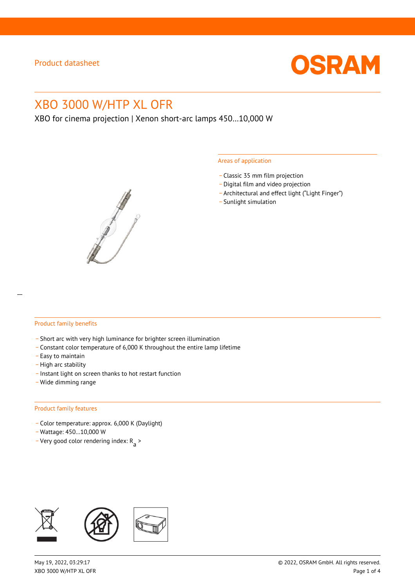

# XBO 3000 W/HTP XL OFR

XBO for cinema projection | Xenon short-arc lamps 450…10,000 W



#### Areas of application

- \_ Classic 35 mm film projection
- \_ Digital film and video projection
- \_ Architectural and effect light ("Light Finger")
- Sunlight simulation

#### Product family benefits

- \_ Short arc with very high luminance for brighter screen illumination
- \_ Constant color temperature of 6,000 K throughout the entire lamp lifetime
- \_ Easy to maintain
- High arc stability
- \_ Instant light on screen thanks to hot restart function
- \_ Wide dimming range

#### Product family features

- \_ Color temperature: approx. 6,000 K (Daylight)
- \_ Wattage: 450…10,000 W
- Very good color rendering index:  $R_{\text{a}}$  >

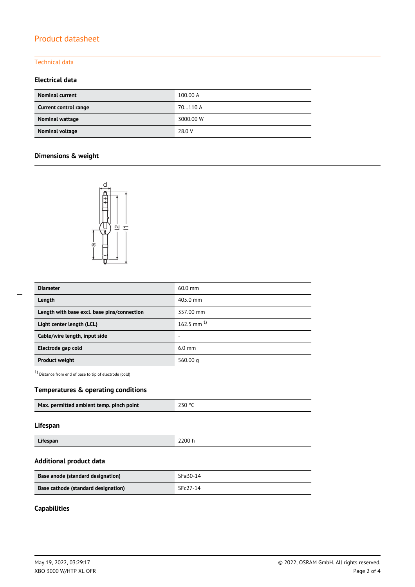# Product datasheet

#### Technical data

### **Electrical data**

| <b>Nominal current</b> | 100.00 A  |
|------------------------|-----------|
| Current control range  | 70110 A   |
| Nominal wattage        | 3000.00 W |
| Nominal voltage        | 28.0 V    |

## **Dimensions & weight**



| <b>Diameter</b>                             | $60.0$ mm         |  |
|---------------------------------------------|-------------------|--|
| Length                                      | 405.0 mm          |  |
| Length with base excl. base pins/connection | 357.00 mm         |  |
| Light center length (LCL)                   | $162.5$ mm $^{1}$ |  |
| Cable/wire length, input side               | -                 |  |
| Electrode gap cold                          | $6.0$ mm          |  |
| <b>Product weight</b>                       | 560.00 $q$        |  |

1) Distance from end of base to tip of electrode (cold)

### **Temperatures & operating conditions**

| Max. permitted ambient temp. pinch point | 230 °C |
|------------------------------------------|--------|
|                                          |        |

#### **Lifespan**

| Lifespan | 2200 h |
|----------|--------|

#### **Additional product data**

| Base anode (standard designation)   | SFa30-14 |
|-------------------------------------|----------|
| Base cathode (standard designation) | SFc27-14 |

# **Capabilities**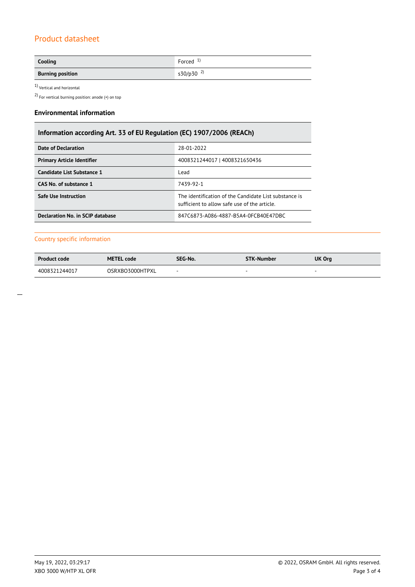# Product datasheet

| Cooling                 | Forced $1$            |
|-------------------------|-----------------------|
| <b>Burning position</b> | s30/p30 <sup>2)</sup> |

 $1$ Vertical and horizontal  $\,$ 

2) For vertical burning position: anode (+) on top

#### **Environmental information**

### **Information according Art. 33 of EU Regulation (EC) 1907/2006 (REACh)**

| Date of Declaration               | 28-01-2022                                                                                            |  |  |
|-----------------------------------|-------------------------------------------------------------------------------------------------------|--|--|
| <b>Primary Article Identifier</b> | 4008321244017   4008321650436                                                                         |  |  |
| Candidate List Substance 1        | Lead                                                                                                  |  |  |
| CAS No. of substance 1            | 7439-92-1                                                                                             |  |  |
| <b>Safe Use Instruction</b>       | The identification of the Candidate List substance is<br>sufficient to allow safe use of the article. |  |  |
| Declaration No. in SCIP database  | 847C6873-A086-4887-B5A4-0FCB40E47DBC                                                                  |  |  |

#### Country specific information

| <b>Product code</b> | <b>METEL code</b> | SEG-No. | <b>STK-Number</b> | <b>UK Org</b>            |
|---------------------|-------------------|---------|-------------------|--------------------------|
| 4008321244017       | OSRXBO3000HTPXL   | . .     |                   | $\overline{\phantom{a}}$ |